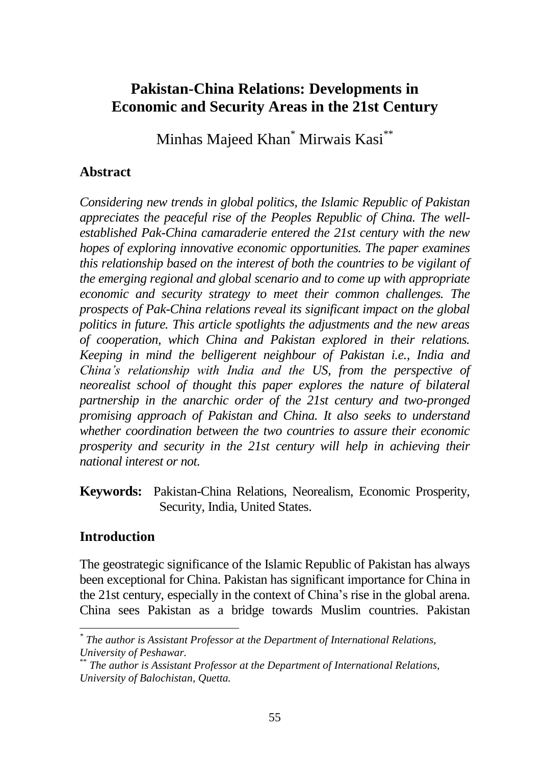# **Pakistan-China Relations: Developments in Economic and Security Areas in the 21st Century**

Minhas Majeed Khan<sup>\*</sup> Mirwais Kasi<sup>\*\*</sup>

#### **Abstract**

*Considering new trends in global politics, the Islamic Republic of Pakistan appreciates the peaceful rise of the Peoples Republic of China. The wellestablished Pak-China camaraderie entered the 21st century with the new hopes of exploring innovative economic opportunities. The paper examines this relationship based on the interest of both the countries to be vigilant of the emerging regional and global scenario and to come up with appropriate economic and security strategy to meet their common challenges. The prospects of Pak-China relations reveal its significant impact on the global politics in future. This article spotlights the adjustments and the new areas of cooperation, which China and Pakistan explored in their relations. Keeping in mind the belligerent neighbour of Pakistan i.e., India and China's relationship with India and the US, from the perspective of neorealist school of thought this paper explores the nature of bilateral partnership in the anarchic order of the 21st century and two-pronged promising approach of Pakistan and China. It also seeks to understand whether coordination between the two countries to assure their economic prosperity and security in the 21st century will help in achieving their national interest or not.*

**Keywords:** Pakistan-China Relations, Neorealism, Economic Prosperity, Security, India, United States.

### **Introduction**

The geostrategic significance of the Islamic Republic of Pakistan has always been exceptional for China. Pakistan has significant importance for China in the 21st century, especially in the context of China's rise in the global arena. China sees Pakistan as a bridge towards Muslim countries. Pakistan

<sup>&</sup>lt;sup>\*</sup> The author is Assistant Professor at the Department of International Relations, *University of Peshawar.*

<sup>\*\*</sup> *The author is Assistant Professor at the Department of International Relations, University of Balochistan, Quetta.*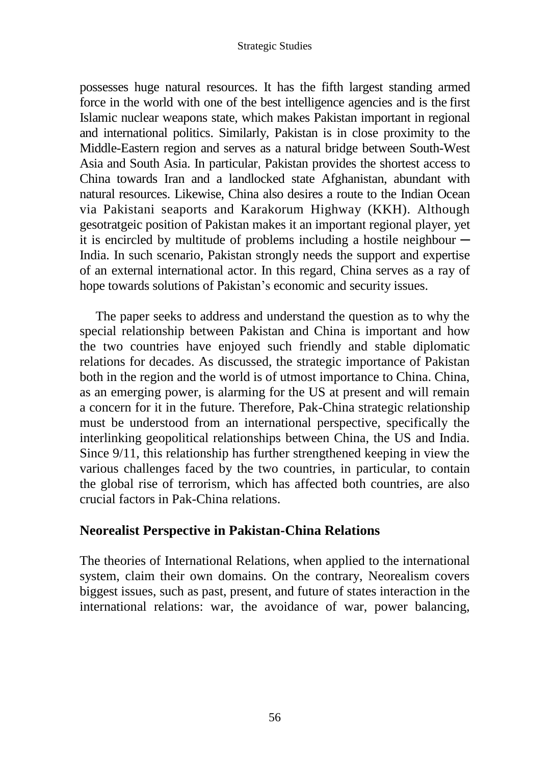possesses huge natural resources. It has the fifth largest standing armed force in the world with one of the best intelligence agencies and is the first Islamic nuclear weapons state, which makes Pakistan important in regional and international politics. Similarly, Pakistan is in close proximity to the Middle-Eastern region and serves as a natural bridge between South-West Asia and South Asia. In particular, Pakistan provides the shortest access to China towards Iran and a landlocked state Afghanistan, abundant with natural resources. Likewise, China also desires a route to the Indian Ocean via Pakistani seaports and Karakorum Highway (KKH). Although gesotratgeic position of Pakistan makes it an important regional player, yet it is encircled by multitude of problems including a hostile neighbour  $-$ India. In such scenario, Pakistan strongly needs the support and expertise of an external international actor. In this regard, China serves as a ray of hope towards solutions of Pakistan's economic and security issues.

The paper seeks to address and understand the question as to why the special relationship between Pakistan and China is important and how the two countries have enjoyed such friendly and stable diplomatic relations for decades. As discussed, the strategic importance of Pakistan both in the region and the world is of utmost importance to China. China, as an emerging power, is alarming for the US at present and will remain a concern for it in the future. Therefore, Pak-China strategic relationship must be understood from an international perspective, specifically the interlinking geopolitical relationships between China, the US and India. Since 9/11, this relationship has further strengthened keeping in view the various challenges faced by the two countries, in particular, to contain the global rise of terrorism, which has affected both countries, are also crucial factors in Pak-China relations.

#### **Neorealist Perspective in Pakistan-China Relations**

The theories of International Relations, when applied to the international system, claim their own domains. On the contrary, Neorealism covers biggest issues, such as past, present, and future of states interaction in the international relations: war, the avoidance of war, power balancing,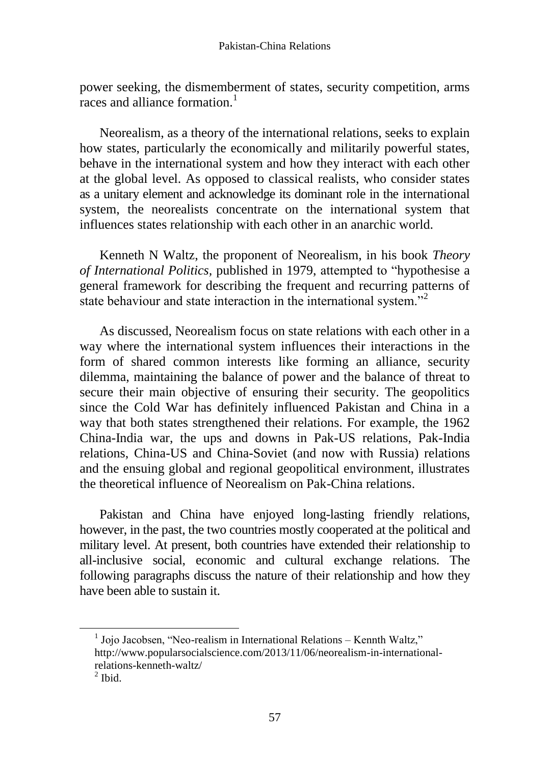power seeking, the dismemberment of states, security competition, arms races and alliance formation. $<sup>1</sup>$ </sup>

Neorealism, as a theory of the international relations, seeks to explain how states, particularly the economically and militarily powerful states, behave in the international system and how they interact with each other at the global level. As opposed to classical realists, who consider states as a unitary element and acknowledge its dominant role in the international system, the neorealists concentrate on the international system that influences states relationship with each other in an anarchic world.

Kenneth N Waltz, the proponent of Neorealism, in his book *Theory of International Politics,* published in 1979, attempted to "hypothesise a general framework for describing the frequent and recurring patterns of state behaviour and state interaction in the international system."<sup>2</sup>

As discussed, Neorealism focus on state relations with each other in a way where the international system influences their interactions in the form of shared common interests like forming an alliance, security dilemma, maintaining the balance of power and the balance of threat to secure their main objective of ensuring their security. The geopolitics since the Cold War has definitely influenced Pakistan and China in a way that both states strengthened their relations. For example, the 1962 China-India war, the ups and downs in Pak-US relations, Pak-India relations, China-US and China-Soviet (and now with Russia) relations and the ensuing global and regional geopolitical environment, illustrates the theoretical influence of Neorealism on Pak-China relations.

Pakistan and China have enjoyed long-lasting friendly relations, however, in the past, the two countries mostly cooperated at the political and military level. At present, both countries have extended their relationship to all-inclusive social, economic and cultural exchange relations. The following paragraphs discuss the nature of their relationship and how they have been able to sustain it.

<sup>1</sup> Jojo Jacobsen, "Neo-realism in International Relations – Kennth Waltz," http://www.popularsocialscience.com/2013/11/06/neorealism-in-internationalrelations-kenneth-waltz/

 $<sup>2</sup>$  Ibid.</sup>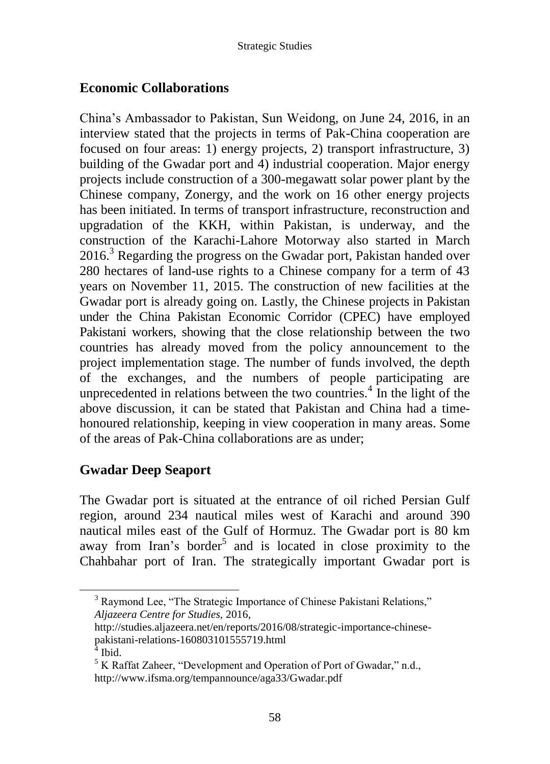## **Economic Collaborations**

China's Ambassador to Pakistan, Sun Weidong, on June 24, 2016, in an interview stated that the projects in terms of Pak-China cooperation are focused on four areas: 1) energy projects, 2) transport infrastructure, 3) building of the Gwadar port and 4) industrial cooperation. Major energy projects include construction of a 300-megawatt solar power plant by the Chinese company, Zonergy, and the work on 16 other energy projects has been initiated. In terms of transport infrastructure, reconstruction and upgradation of the KKH, within Pakistan, is underway, and the construction of the Karachi-Lahore Motorway also started in March  $2016<sup>3</sup>$  Regarding the progress on the Gwadar port, Pakistan handed over 280 hectares of land-use rights to a Chinese company for a term of 43 years on November 11, 2015. The construction of new facilities at the Gwadar port is already going on. Lastly, the Chinese projects in Pakistan under the China Pakistan Economic Corridor (CPEC) have employed Pakistani workers, showing that the close relationship between the two countries has already moved from the policy announcement to the project implementation stage. The number of funds involved, the depth of the exchanges, and the numbers of people participating are unprecedented in relations between the two countries. $4$  In the light of the above discussion, it can be stated that Pakistan and China had a timehonoured relationship, keeping in view cooperation in many areas. Some of the areas of Pak-China collaborations are as under;

### **Gwadar Deep Seaport**

The Gwadar port is situated at the entrance of oil riched Persian Gulf region, around 234 nautical miles west of Karachi and around 390 nautical miles east of the Gulf of Hormuz. The Gwadar port is 80 km away from Iran's border<sup>5</sup> and is located in close proximity to the Chahbahar port of Iran. The strategically important Gwadar port is

<sup>&</sup>lt;sup>3</sup> Raymond Lee, "The Strategic Importance of Chinese Pakistani Relations," *Aljazeera Centre for Studies,* 2016,

http://studies.aljazeera.net/en/reports/2016/08/strategic-importance-chinesepakistani-relations-160803101555719.html

<sup>4</sup> Ibid.

<sup>5</sup> K Raffat Zaheer, "Development and Operation of Port of Gwadar," n.d., <http://www.ifsma.org/tempannounce/aga33/Gwadar.pdf>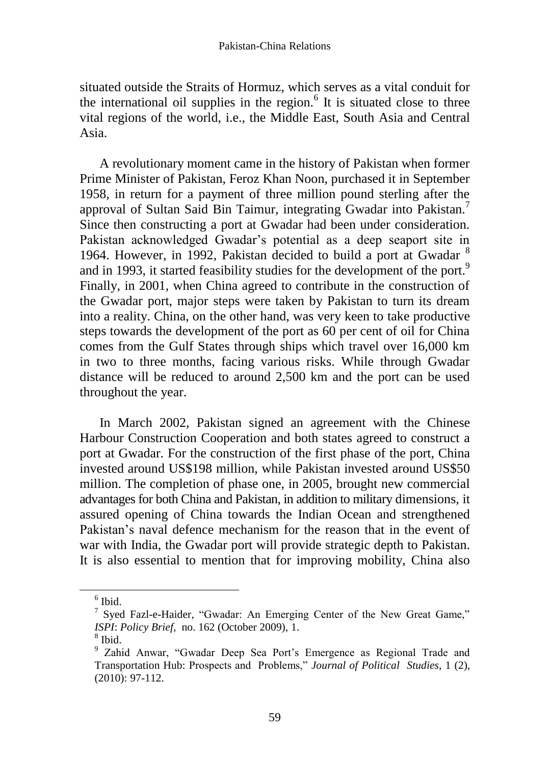situated outside the Straits of Hormuz, which serves as a vital conduit for the international oil supplies in the region. $<sup>6</sup>$  It is situated close to three</sup> vital regions of the world, i.e., the Middle East, South Asia and Central Asia.

A revolutionary moment came in the history of Pakistan when former Prime Minister of Pakistan, Feroz Khan Noon, purchased it in September 1958, in return for a payment of three million pound sterling after the approval of Sultan Said Bin Taimur, integrating Gwadar into Pakistan.<sup>7</sup> Since then constructing a port at Gwadar had been under consideration. Pakistan acknowledged Gwadar's potential as a deep seaport site in 1964. However, in 1992, Pakistan decided to build a port at Gwadar  $<sup>8</sup>$ </sup> and in 1993, it started feasibility studies for the development of the port.<sup>9</sup> Finally, in 2001, when China agreed to contribute in the construction of the Gwadar port, major steps were taken by Pakistan to turn its dream into a reality. China, on the other hand, was very keen to take productive steps towards the development of the port as 60 per cent of oil for China comes from the Gulf States through ships which travel over 16,000 km in two to three months, facing various risks. While through Gwadar distance will be reduced to around 2,500 km and the port can be used throughout the year.

In March 2002, Pakistan signed an agreement with the Chinese Harbour Construction Cooperation and both states agreed to construct a port at Gwadar. For the construction of the first phase of the port, China invested around US\$198 million, while Pakistan invested around US\$50 million. The completion of phase one, in 2005, brought new commercial advantages for both China and Pakistan, in addition to military dimensions, it assured opening of China towards the Indian Ocean and strengthened Pakistan's naval defence mechanism for the reason that in the event of war with India, the Gwadar port will provide strategic depth to Pakistan. It is also essential to mention that for improving mobility, China also

 $<sup>6</sup>$  Ibid.</sup>

<sup>&</sup>lt;sup>7</sup> Syed Fazl-e-Haider, "Gwadar: An Emerging Center of the New Great Game," *ISPI*: *Policy Brief,* no. 162 (October 2009), 1.

<sup>8</sup> Ibid.

<sup>&</sup>lt;sup>9</sup> Zahid Anwar, "Gwadar Deep Sea Port's Emergence as Regional Trade and Transportation Hub: Prospects and Problems," *Journal of Political Studies*, 1 (2), (2010): 97-112.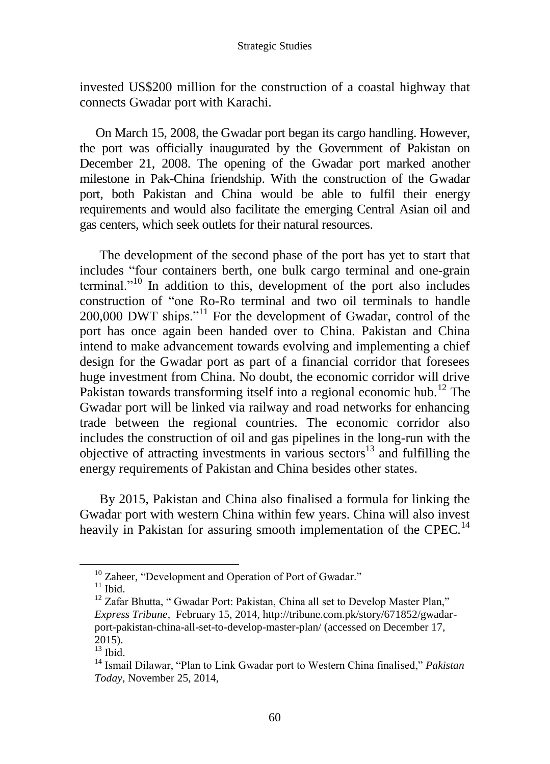invested US\$200 million for the construction of a coastal highway that connects Gwadar port with Karachi.

On March 15, 2008, the Gwadar port began its cargo handling. However, the port was officially inaugurated by the Government of Pakistan on December 21, 2008. The opening of the Gwadar port marked another milestone in Pak-China friendship. With the construction of the Gwadar port, both Pakistan and China would be able to fulfil their energy requirements and would also facilitate the emerging Central Asian oil and gas centers, which seek outlets for their natural resources.

The development of the second phase of the port has yet to start that includes "four containers berth, one bulk cargo terminal and one-grain terminal."<sup>10</sup> In addition to this, development of the port also includes construction of "one Ro-Ro terminal and two oil terminals to handle 200,000 DWT ships."<sup>11</sup> For the development of Gwadar, control of the port has once again been handed over to China. Pakistan and China intend to make advancement towards evolving and implementing a chief design for the Gwadar port as part of a financial corridor that foresees huge investment from China. No doubt, the economic corridor will drive Pakistan towards transforming itself into a regional economic hub.<sup>12</sup> The Gwadar port will be linked via railway and road networks for enhancing trade between the regional countries. The economic corridor also includes the construction of oil and gas pipelines in the long-run with the objective of attracting investments in various sectors<sup>13</sup> and fulfilling the energy requirements of Pakistan and China besides other states.

By 2015, Pakistan and China also finalised a formula for linking the Gwadar port with western China within few years. China will also invest heavily in Pakistan for assuring smooth implementation of the CPEC.<sup>14</sup>

<sup>&</sup>lt;sup>10</sup> Zaheer, "Development and Operation of Port of Gwadar."

 $11$  Ibid.

<sup>&</sup>lt;sup>12</sup> Zafar Bhutta, "Gwadar Port: Pakistan, China all set to Develop Master Plan," *Express Tribune,* February 15, 2014, [http://tribune.com.pk/story/671852/gwadar](http://tribune.com.pk/story/671852/gwadar-port-pakistan-china-all-set-to-develop-master-plan/)[port-pakistan-china-all-set-to-develop-master-plan/](http://tribune.com.pk/story/671852/gwadar-port-pakistan-china-all-set-to-develop-master-plan/) (accessed on December 17, 2015).

 $13$  Ibid.

<sup>14</sup> Ismail Dilawar, "Plan to Link Gwadar port to Western China finalised," *Pakistan Today*, November 25, 2014,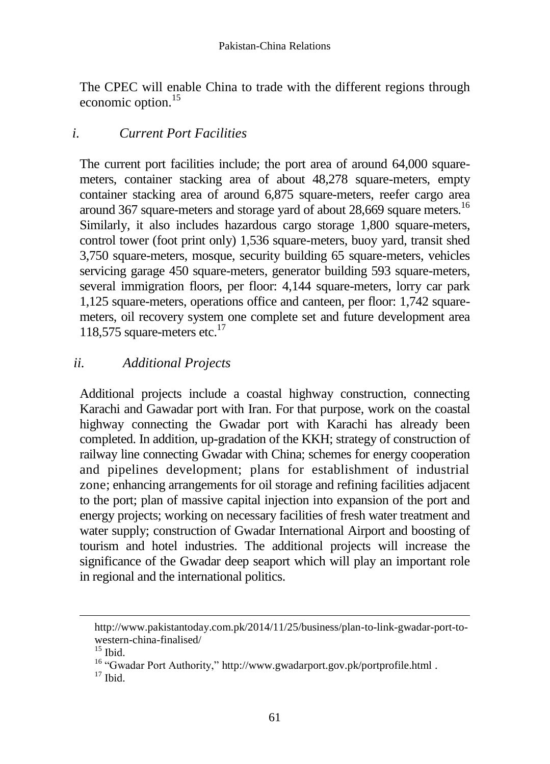The CPEC will enable China to trade with the different regions through economic option.<sup>15</sup>

# *i. Current Port Facilities*

The current port facilities include; the port area of around 64,000 squaremeters, container stacking area of about 48,278 square-meters, empty container stacking area of around 6,875 square-meters, reefer cargo area around 367 square-meters and storage yard of about 28,669 square meters.<sup>16</sup> Similarly, it also includes hazardous cargo storage 1,800 square-meters, control tower (foot print only) 1,536 square-meters, buoy yard, transit shed 3,750 square-meters, mosque, security building 65 square-meters, vehicles servicing garage 450 square-meters, generator building 593 square-meters, several immigration floors, per floor: 4,144 square-meters, lorry car park 1,125 square-meters, operations office and canteen, per floor: 1,742 squaremeters, oil recovery system one complete set and future development area 118,575 square-meters etc. $17$ 

# *ii. Additional Projects*

Additional projects include a coastal highway construction, connecting Karachi and Gawadar port with Iran. For that purpose, work on the coastal highway connecting the Gwadar port with Karachi has already been completed. In addition, up-gradation of the KKH; strategy of construction of railway line connecting Gwadar with China; schemes for energy cooperation and pipelines development; plans for establishment of industrial zone; enhancing arrangements for oil storage and refining facilities adjacent to the port; plan of massive capital injection into expansion of the port and energy projects; working on necessary facilities of fresh water treatment and water supply; construction of Gwadar International Airport and boosting of tourism and hotel industries. The additional projects will increase the significance of the Gwadar deep seaport which will play an important role in regional and the international politics.

[http://www.pakistantoday.com.pk/2014/11/25/business/plan-to-link-gwadar-port-to](http://www.pakistantoday.com.pk/2014/11/25/business/plan-to-link-gwadar-port-to-western-china-finalised/)[western-china-finalised/](http://www.pakistantoday.com.pk/2014/11/25/business/plan-to-link-gwadar-port-to-western-china-finalised/)

 $15$  Ibid.

<sup>&</sup>lt;sup>16</sup> "Gwadar Port Authority,"<http://www.gwadarport.gov.pk/portprofile.html> .

 $17$  Ibid.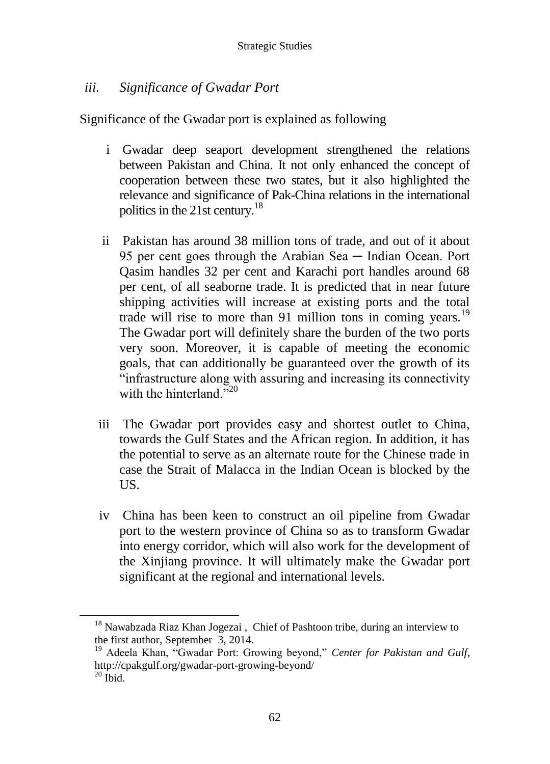# *iii. Significance of Gwadar Port*

Significance of the Gwadar port is explained as following

- i Gwadar deep seaport development strengthened the relations between Pakistan and China. It not only enhanced the concept of cooperation between these two states, but it also highlighted the relevance and significance of Pak-China relations in the international politics in the 21st century.<sup>18</sup>
- ii Pakistan has around 38 million tons of trade, and out of it about 95 per cent goes through the Arabian Sea — Indian Ocean. Port Qasim handles 32 per cent and Karachi port handles around 68 per cent, of all seaborne trade. It is predicted that in near future shipping activities will increase at existing ports and the total trade will rise to more than 91 million tons in coming years.<sup>19</sup> The Gwadar port will definitely share the burden of the two ports very soon. Moreover, it is capable of meeting the economic goals, that can additionally be guaranteed over the growth of its "infrastructure along with assuring and increasing its connectivity with the hinterland  $\cdot$ <sup>20</sup>
- iii The Gwadar port provides easy and shortest outlet to China, towards the Gulf States and the African region. In addition, it has the potential to serve as an alternate route for the Chinese trade in case the Strait of Malacca in the Indian Ocean is blocked by the US.
- iv China has been keen to construct an oil pipeline from Gwadar port to the western province of China so as to transform Gwadar into energy corridor, which will also work for the development of the Xinjiang province. It will ultimately make the Gwadar port significant at the regional and international levels.

<sup>&</sup>lt;sup>18</sup> Nawabzada Riaz Khan Jogezai, Chief of Pashtoon tribe, during an interview to the first author, September 3, 2014.

<sup>19</sup> Adeela Khan, "Gwadar Port: Growing beyond," *Center for Pakistan and Gulf*, <http://cpakgulf.org/gwadar-port-growing-beyond/>  $20$  Ibid.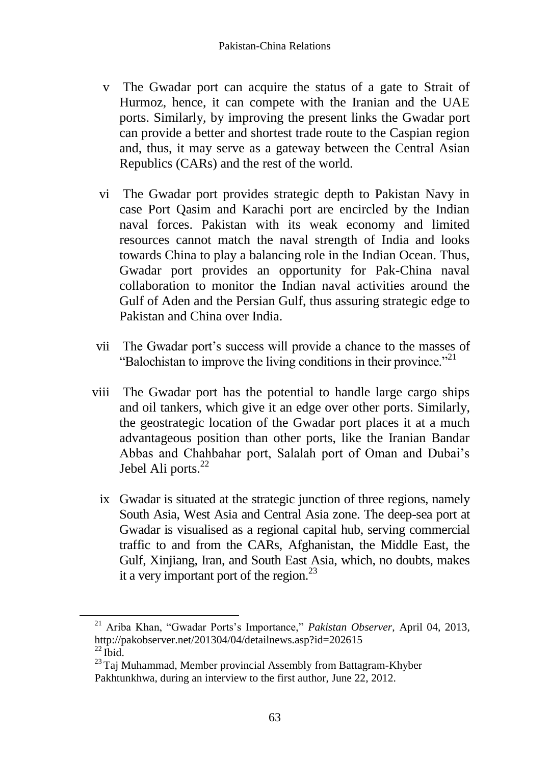- v The Gwadar port can acquire the status of a gate to Strait of Hurmoz, hence, it can compete with the Iranian and the UAE ports. Similarly, by improving the present links the Gwadar port can provide a better and shortest trade route to the Caspian region and, thus, it may serve as a gateway between the Central Asian Republics (CARs) and the rest of the world.
- vi The Gwadar port provides strategic depth to Pakistan Navy in case Port Qasim and Karachi port are encircled by the Indian naval forces. Pakistan with its weak economy and limited resources cannot match the naval strength of India and looks towards China to play a balancing role in the Indian Ocean. Thus, Gwadar port provides an opportunity for Pak-China naval collaboration to monitor the Indian naval activities around the Gulf of Aden and the Persian Gulf, thus assuring strategic edge to Pakistan and China over India.
- vii The Gwadar port's success will provide a chance to the masses of "Balochistan to improve the living conditions in their province."<sup>21</sup>
- viii The Gwadar port has the potential to handle large cargo ships and oil tankers, which give it an edge over other ports. Similarly, the geostrategic location of the Gwadar port places it at a much advantageous position than other ports, like the Iranian Bandar Abbas and Chahbahar port, Salalah port of Oman and Dubai's Jebel Ali ports.<sup>22</sup>
	- ix Gwadar is situated at the strategic junction of three regions, namely South Asia, West Asia and Central Asia zone. The deep-sea port at Gwadar is visualised as a regional capital hub, serving commercial traffic to and from the CARs, Afghanistan, the Middle East, the Gulf, Xinjiang, Iran, and South East Asia, which, no doubts, makes it a very important port of the region. $^{23}$

<sup>21</sup> Ariba Khan, "Gwadar Ports's Importance," *Pakistan Observer*, April 04, 2013, <http://pakobserver.net/201304/04/detailnews.asp?id=202615>  $^{22}$  Ibid.

<sup>&</sup>lt;sup>23</sup> Taj Muhammad, Member provincial Assembly from Battagram-Khyber Pakhtunkhwa, during an interview to the first author, June 22, 2012.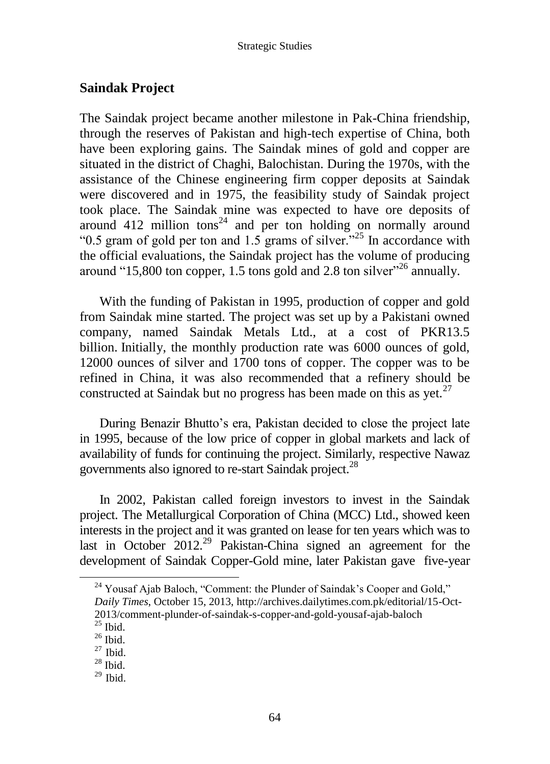## **Saindak Project**

The Saindak project became another milestone in Pak-China friendship, through the reserves of Pakistan and high-tech expertise of China, both have been exploring gains. The Saindak mines of gold and copper are situated in the district of Chaghi, Balochistan. During the 1970s, with the assistance of the Chinese engineering firm copper deposits at Saindak were discovered and in 1975, the feasibility study of Saindak project took place. The Saindak mine was expected to have ore deposits of around  $412$  million tons<sup>24</sup> and per ton holding on normally around "0.5 gram of gold per ton and 1.5 grams of silver."<sup>25</sup> In accordance with the official evaluations, the Saindak project has the volume of producing around "15,800 ton copper, 1.5 tons gold and 2.8 ton silver"<sup>26</sup> annually.

With the funding of Pakistan in 1995, production of copper and gold from Saindak mine started. The project was set up by a Pakistani owned company, named Saindak Metals Ltd., at a cost of PKR13.5 billion. Initially, the monthly production rate was 6000 ounces of gold, 12000 ounces of silver and 1700 tons of copper. The copper was to be refined in China, it was also recommended that a refinery should be constructed at Saindak but no progress has been made on this as yet.<sup>27</sup>

During Benazir Bhutto's era, Pakistan decided to close the project late in 1995, because of the low price of copper in global markets and lack of availability of funds for continuing the project. Similarly, respective Nawaz governments also ignored to re-start Saindak project.<sup>28</sup>

In 2002, Pakistan called foreign investors to invest in the Saindak project. The Metallurgical Corporation of China (MCC) Ltd., showed keen interests in the project and it was granted on lease for ten years which was to last in October 2012.<sup>29</sup> Pakistan-China signed an agreement for the development of Saindak Copper-Gold mine, later Pakistan gave five-year

<sup>&</sup>lt;sup>24</sup> Yousaf Ajab Baloch, "Comment: the Plunder of Saindak's Cooper and Gold," *Daily Times*, October 15, 2013, [http://archives.dailytimes.com.pk/editorial/15-Oct-](http://archives.dailytimes.com.pk/editorial/15-Oct-2013/comment-plunder-of-saindak-s-copper-and-gold-yousaf-ajab-baloch)[2013/comment-plunder-of-saindak-s-copper-and-gold-yousaf-ajab-baloch](http://archives.dailytimes.com.pk/editorial/15-Oct-2013/comment-plunder-of-saindak-s-copper-and-gold-yousaf-ajab-baloch)

 $\frac{25}{25}$  Ibid.

 $26$  Ibid.

 $27$  Ibid.

 $28$  Ibid.

 $29$  Ibid.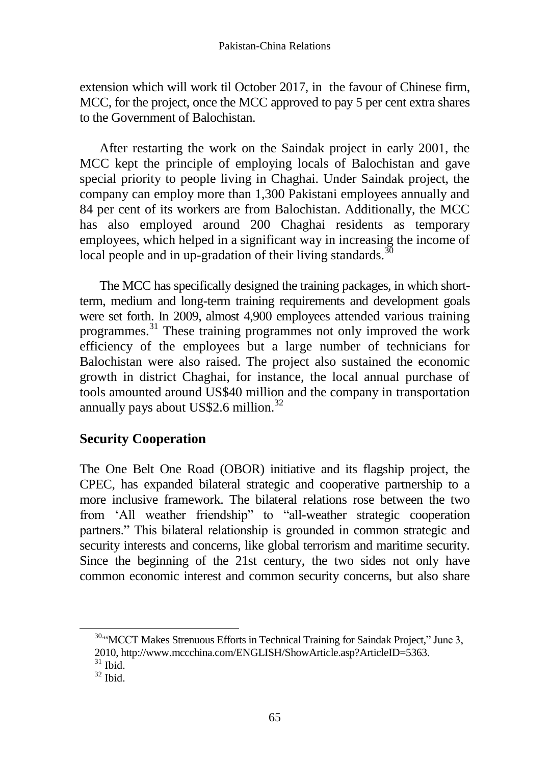extension which will work til October 2017, in the favour of Chinese firm, MCC, for the project, once the MCC approved to pay 5 per cent extra shares to the Government of Balochistan.

After restarting the work on the Saindak project in early 2001, the MCC kept the principle of employing locals of Balochistan and gave special priority to people living in Chaghai. Under Saindak project, the company can employ more than 1,300 Pakistani employees annually and 84 per cent of its workers are from Balochistan. Additionally, the MCC has also employed around 200 Chaghai residents as temporary employees, which helped in a significant way in increasing the income of local people and in up-gradation of their living standards.<sup>30</sup>

The MCC has specifically designed the training packages, in which shortterm, medium and long-term training requirements and development goals were set forth. In 2009, almost 4,900 employees attended various training programmes.<sup>31</sup> These training programmes not only improved the work efficiency of the employees but a large number of technicians for Balochistan were also raised. The project also sustained the economic growth in district Chaghai, for instance, the local annual purchase of tools amounted around US\$40 million and the company in transportation annually pays about US\$2.6 million. $32$ 

# **Security Cooperation**

The One Belt One Road (OBOR) initiative and its flagship project, the CPEC, has expanded bilateral strategic and cooperative partnership to a more inclusive framework. The bilateral relations rose between the two from 'All weather friendship" to "all-weather strategic cooperation partners." This bilateral relationship is grounded in common strategic and security interests and concerns, like global terrorism and maritime security. Since the beginning of the 21st century, the two sides not only have common economic interest and common security concerns, but also share

<sup>30.4</sup>MCCT Makes Strenuous Efforts in Technical Training for Saindak Project," June 3, 2010[, http://www.mccchina.com/ENGLISH/ShowArticle.asp?ArticleID=5363.](http://www.mccchina.com/ENGLISH/ShowArticle.asp?ArticleID=5363)

 $31$  Ibid.

 $32$  Ibid.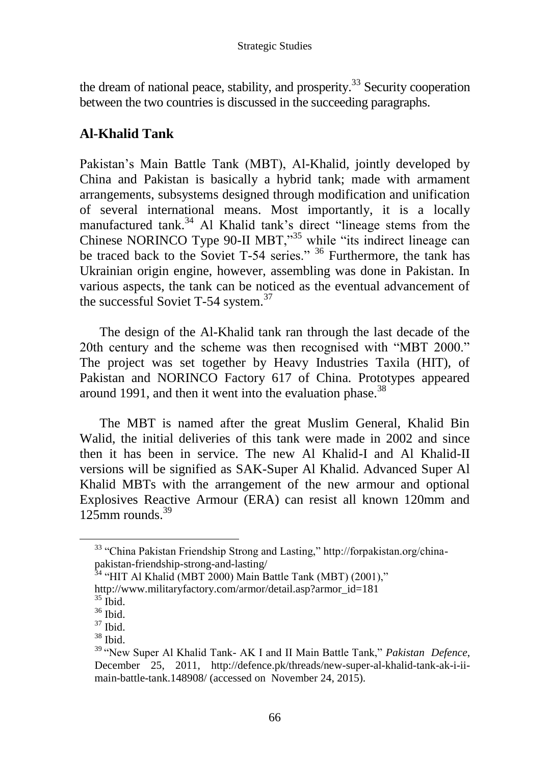the dream of national peace, stability, and prosperity.<sup>33</sup> Security cooperation between the two countries is discussed in the succeeding paragraphs.

# **Al-Khalid Tank**

Pakistan's Main Battle Tank (MBT), Al-Khalid, jointly developed by China and Pakistan is basically a hybrid tank; made with armament arrangements, subsystems designed through modification and unification of several international means. Most importantly, it is a locally manufactured tank.<sup>34</sup> Al Khalid tank's direct "lineage stems from the Chinese NORINCO Type 90-II MBT,"<sup>35</sup> while "its indirect lineage can be traced back to the Soviet T-54 series." <sup>36</sup> Furthermore, the tank has Ukrainian origin engine, however, assembling was done in Pakistan. In various aspects, the tank can be noticed as the eventual advancement of the successful Soviet T-54 system.<sup>37</sup>

The design of the Al-Khalid tank ran through the last decade of the 20th century and the scheme was then recognised with "MBT 2000." The project was set together by Heavy Industries Taxila (HIT), of Pakistan and NORINCO Factory 617 of China. Prototypes appeared around 1991, and then it went into the evaluation phase.<sup>38</sup>

The MBT is named after the great Muslim General, Khalid Bin Walid, the initial deliveries of this tank were made in 2002 and since then it has been in service. The new Al Khalid-I and Al Khalid-II versions will be signified as SAK-Super Al Khalid. Advanced Super Al Khalid MBTs with the arrangement of the new armour and optional Explosives Reactive Armour (ERA) can resist all known 120mm and 125mm rounds. $39$ 

 $\overline{a}$ 

 $38$  Ibid.

<sup>33</sup> "China Pakistan Friendship Strong and Lasting," http://forpakistan.org/chinapakistan-friendship-strong-and-lasting/

<sup>&</sup>lt;sup>34</sup> "HIT Al Khalid (MBT 2000) Main Battle Tank (MBT) (2001)," [http://www.militaryfactory.com/armor/detail.asp?armor\\_id=181](http://www.militaryfactory.com/armor/detail.asp?armor_id=181)

 $35$  Ibid.

 $36$  Ibid.

<sup>37</sup> Ibid.

<sup>39</sup> "New Super Al Khalid Tank- AK I and II Main Battle Tank," *Pakistan Defence*, December 25, 2011, [http://defence.pk/threads/new-super-al-khalid-tank-ak-i-ii](http://defence.pk/threads/new-super-al-khalid-tank-ak-i-ii-main-battle-tank.148908/)[main-battle-tank.148908/](http://defence.pk/threads/new-super-al-khalid-tank-ak-i-ii-main-battle-tank.148908/) (accessed on November 24, 2015).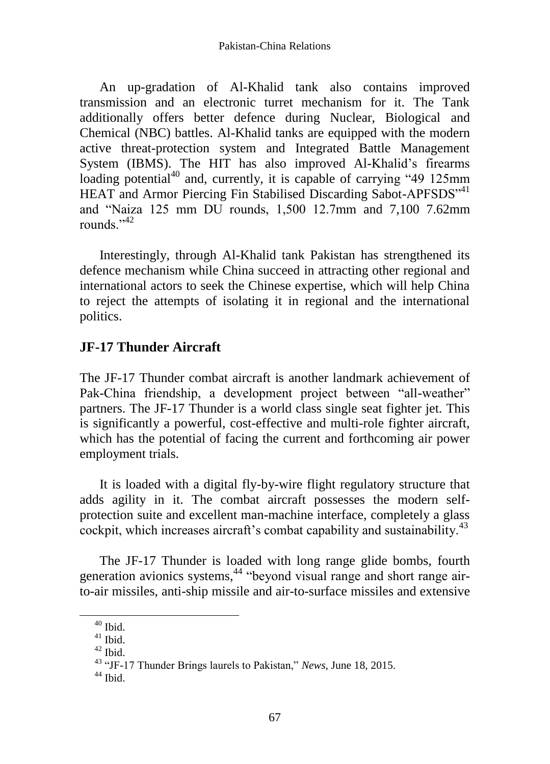An up-gradation of Al-Khalid tank also contains improved transmission and an electronic turret mechanism for it. The Tank additionally offers better defence during Nuclear, Biological and Chemical (NBC) battles. Al-Khalid tanks are equipped with the modern active threat-protection system and Integrated Battle Management System (IBMS). The HIT has also improved Al-Khalid's firearms loading potential<sup>40</sup> and, currently, it is capable of carrying "49 125mm HEAT and Armor Piercing Fin Stabilised Discarding Sabot-APFSDS<sup>141</sup> and "Naiza 125 mm DU rounds, 1,500 12.7mm and 7,100 7.62mm rounds." $42$ 

Interestingly, through Al-Khalid tank Pakistan has strengthened its defence mechanism while China succeed in attracting other regional and international actors to seek the Chinese expertise, which will help China to reject the attempts of isolating it in regional and the international politics.

## **JF-17 Thunder Aircraft**

The JF-17 Thunder combat aircraft is another landmark achievement of Pak-China friendship, a development project between "all-weather" partners. The JF-17 Thunder is a world class single seat fighter jet. This is significantly a powerful, cost-effective and multi-role fighter aircraft, which has the potential of facing the current and forthcoming air power employment trials.

It is loaded with a digital fly-by-wire flight regulatory structure that adds agility in it. The combat aircraft possesses the modern selfprotection suite and excellent man-machine interface, completely a glass cockpit, which increases aircraft's combat capability and sustainability.<sup>43</sup>

The JF-17 Thunder is loaded with long range glide bombs, fourth generation avionics systems,<sup>44</sup> "beyond visual range and short range airto-air missiles, anti-ship missile and air-to-surface missiles and extensive

 $40$  Ibid.

 $41$  Ibid.

 $42$  Ibid.

<sup>43</sup> "JF-17 Thunder Brings laurels to Pakistan," *News*, June 18, 2015.

 $44$  Ibid.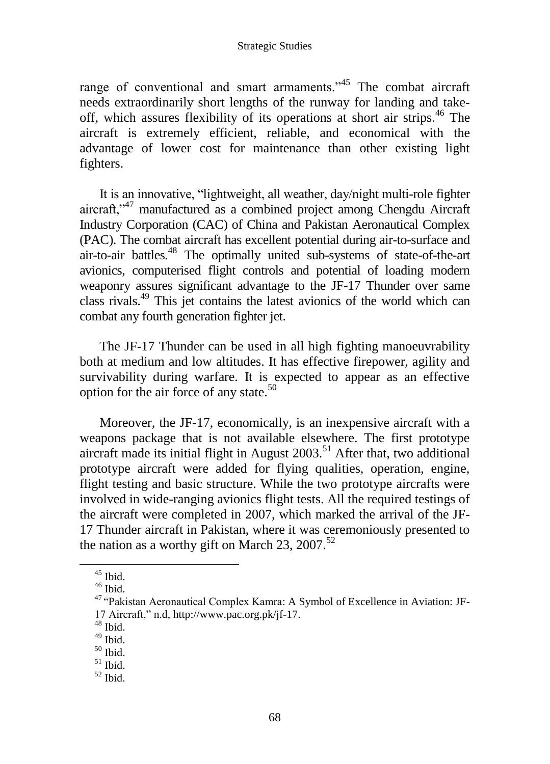range of conventional and smart armaments."<sup>45</sup> The combat aircraft needs extraordinarily short lengths of the runway for landing and takeoff, which assures flexibility of its operations at short air strips.<sup>46</sup> The aircraft is extremely efficient, reliable, and economical with the advantage of lower cost for maintenance than other existing light fighters.

It is an innovative, "lightweight, all weather, day/night multi-role fighter aircraft,"<sup>47</sup> manufactured as a combined project among Chengdu Aircraft Industry Corporation (CAC) of China and Pakistan Aeronautical Complex (PAC). The combat aircraft has excellent potential during air-to-surface and air-to-air battles.<sup>48</sup> The optimally united sub-systems of state-of-the-art avionics, computerised flight controls and potential of loading modern weaponry assures significant advantage to the JF-17 Thunder over same class rivals.<sup>49</sup> This jet contains the latest avionics of the world which can combat any fourth generation fighter jet.

The JF-17 Thunder can be used in all high fighting manoeuvrability both at medium and low altitudes. It has effective firepower, agility and survivability during warfare. It is expected to appear as an effective option for the air force of any state. $50$ 

Moreover, the JF-17, economically, is an inexpensive aircraft with a weapons package that is not available elsewhere. The first prototype aircraft made its initial flight in August  $2003$ <sup>51</sup> After that, two additional prototype aircraft were added for flying qualities, operation, engine, flight testing and basic structure. While the two prototype aircrafts were involved in wide-ranging avionics flight tests. All the required testings of the aircraft were completed in 2007, which marked the arrival of the JF-17 Thunder aircraft in Pakistan, where it was ceremoniously presented to the nation as a worthy gift on March 23, 2007.<sup>52</sup>

<sup>45</sup> Ibid.

 $46$  Ibid.

<sup>47</sup> "Pakistan Aeronautical Complex Kamra: A Symbol of Excellence in Aviation: JF-17 Aircraft," n.d[, http://www.pac.org.pk/jf-17.](http://www.pac.org.pk/jf-17)

 $48$  Ibid.

 $49$  Ibid.

 $50$  Ibid.

 $51$  Ibid.

 $52$  Ibid.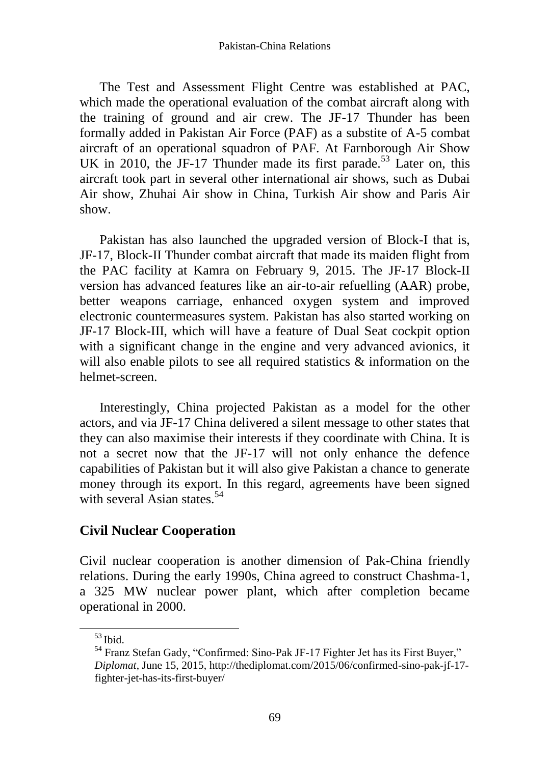The Test and Assessment Flight Centre was established at PAC, which made the operational evaluation of the combat aircraft along with the training of ground and air crew. The JF-17 Thunder has been formally added in Pakistan Air Force (PAF) as a substite of A-5 combat aircraft of an operational squadron of PAF. At Farnborough Air Show UK in 2010, the JF-17 Thunder made its first parade.<sup>53</sup> Later on, this aircraft took part in several other international air shows, such as Dubai Air show, Zhuhai Air show in China, Turkish Air show and Paris Air show.

Pakistan has also launched the upgraded version of Block-I that is, JF-17, Block-II Thunder combat aircraft that made its maiden flight from the PAC facility at Kamra on February 9, 2015. The JF-17 Block-II version has advanced features like an air-to-air refuelling (AAR) probe, better weapons carriage, enhanced oxygen system and improved electronic countermeasures system. Pakistan has also started working on JF-17 Block-III, which will have a feature of Dual Seat cockpit option with a significant change in the engine and very advanced avionics, it will also enable pilots to see all required statistics & information on the helmet-screen.

Interestingly, China projected Pakistan as a model for the other actors, and via JF-17 China delivered a silent message to other states that they can also maximise their interests if they coordinate with China. It is not a secret now that the JF-17 will not only enhance the defence capabilities of Pakistan but it will also give Pakistan a chance to generate money through its export. In this regard, agreements have been signed with several Asian states.<sup>54</sup>

### **Civil Nuclear Cooperation**

Civil nuclear cooperation is another dimension of Pak-China friendly relations. During the early 1990s, China agreed to construct Chashma-1, a 325 MW nuclear power plant, which after completion became operational in 2000.

<sup>53</sup> Ibid.

<sup>54</sup> Franz Stefan Gady, "Confirmed: Sino-Pak JF-17 Fighter Jet has its First Buyer," *Diplomat*, June 15, 2015, [http://thediplomat.com/2015/06/confirmed-sino-pak-jf-17](http://thediplomat.com/2015/06/confirmed-sino-pak-jf-17-fighter-jet-has-its-first-buyer/) [fighter-jet-has-its-first-buyer/](http://thediplomat.com/2015/06/confirmed-sino-pak-jf-17-fighter-jet-has-its-first-buyer/)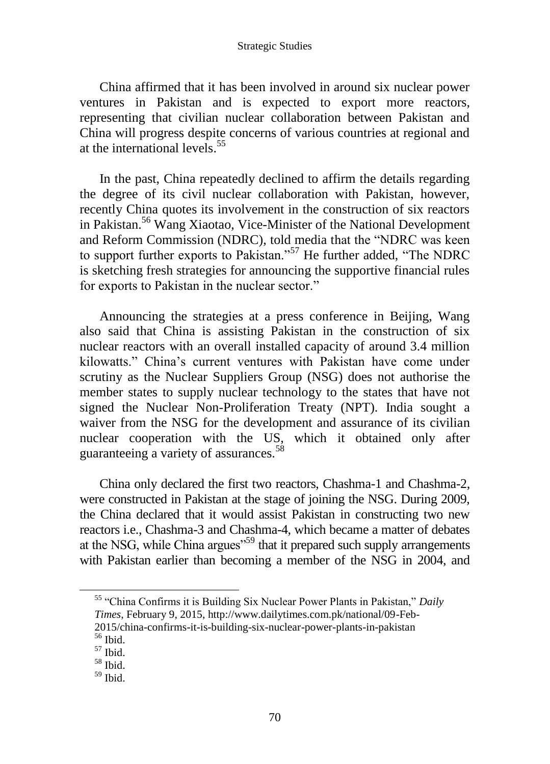China affirmed that it has been involved in around six nuclear power ventures in Pakistan and is expected to export more reactors, representing that civilian nuclear collaboration between Pakistan and China will progress despite concerns of various countries at regional and at the international levels.<sup>55</sup>

In the past, China repeatedly declined to affirm the details regarding the degree of its civil nuclear collaboration with Pakistan, however, recently China quotes its involvement in the construction of six reactors in Pakistan.<sup>56</sup> Wang Xiaotao, Vice-Minister of the National Development and Reform Commission (NDRC), told media that the "NDRC was keen to support further exports to Pakistan."<sup>57</sup> He further added, "The NDRC is sketching fresh strategies for announcing the supportive financial rules for exports to Pakistan in the nuclear sector."

Announcing the strategies at a press conference in Beijing, Wang also said that China is assisting Pakistan in the construction of six nuclear reactors with an overall installed capacity of around 3.4 million kilowatts." China's current ventures with Pakistan have come under scrutiny as the Nuclear Suppliers Group (NSG) does not authorise the member states to supply nuclear technology to the states that have not signed the Nuclear Non-Proliferation Treaty (NPT). India sought a waiver from the NSG for the development and assurance of its civilian nuclear cooperation with the US, which it obtained only after guaranteeing a variety of assurances.<sup>58</sup>

China only declared the first two reactors, Chashma-1 and Chashma-2, were constructed in Pakistan at the stage of joining the NSG. During 2009, the China declared that it would assist Pakistan in constructing two new reactors i.e., Chashma-3 and Chashma-4, which became a matter of debates at the NSG, while China argues<sup>559</sup> that it prepared such supply arrangements with Pakistan earlier than becoming a member of the NSG in 2004, and

<sup>55</sup> "China Confirms it is Building Six Nuclear Power Plants in Pakistan," *Daily Times*, February 9, 2015, http://www.dailytimes.com.pk/national/09-Feb-2015/china-confirms-it-is-building-six-nuclear-power-plants-in-pakistan

 $^{\rm 56}$  Ibid.

 $57$  Ibid.

<sup>58</sup> Ibid.

 $59$  Ibid.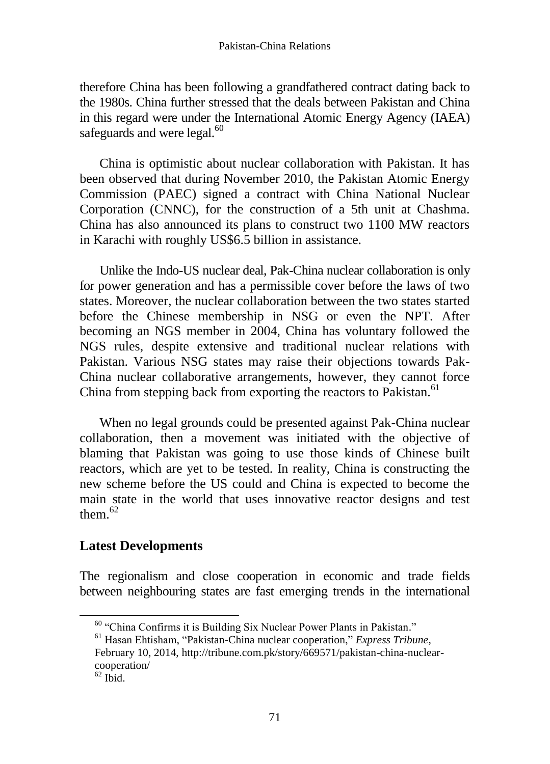therefore China has been following a grandfathered contract dating back to the 1980s. China further stressed that the deals between Pakistan and China in this regard were under the International Atomic Energy Agency (IAEA) safeguards and were legal.<sup>60</sup>

China is optimistic about nuclear collaboration with Pakistan. It has been observed that during November 2010, the Pakistan Atomic Energy Commission (PAEC) signed a contract with China National Nuclear Corporation (CNNC), for the construction of a 5th unit at Chashma. China has also announced its plans to construct two 1100 MW reactors in Karachi with roughly US\$6.5 billion in assistance.

Unlike the Indo-US nuclear deal, Pak-China nuclear collaboration is only for power generation and has a permissible cover before the laws of two states. Moreover, the nuclear collaboration between the two states started before the Chinese membership in NSG or even the NPT. After becoming an NGS member in 2004, China has voluntary followed the NGS rules, despite extensive and traditional nuclear relations with Pakistan. Various NSG states may raise their objections towards Pak-China nuclear collaborative arrangements, however, they cannot force China from stepping back from exporting the reactors to Pakistan.<sup>61</sup>

When no legal grounds could be presented against Pak-China nuclear collaboration, then a movement was initiated with the objective of blaming that Pakistan was going to use those kinds of Chinese built reactors, which are yet to be tested. In reality, China is constructing the new scheme before the US could and China is expected to become the main state in the world that uses innovative reactor designs and test them  $62$ 

### **Latest Developments**

The regionalism and close cooperation in economic and trade fields between neighbouring states are fast emerging trends in the international

<sup>&</sup>lt;sup>60</sup> "China Confirms it is Building Six Nuclear Power Plants in Pakistan."

<sup>61</sup> Hasan Ehtisham, ["Pakistan-China nuclear cooperation,](http://tribune.com.pk/story/669571/pakistan-china-nuclear-cooperation/)" *Express Tribune,* February 10, 2014, [http://tribune.com.pk/story/669571/pakistan-china-nuclear](http://tribune.com.pk/story/669571/pakistan-china-nuclear-cooperation/)[cooperation/](http://tribune.com.pk/story/669571/pakistan-china-nuclear-cooperation/)

 $62$  Ibid.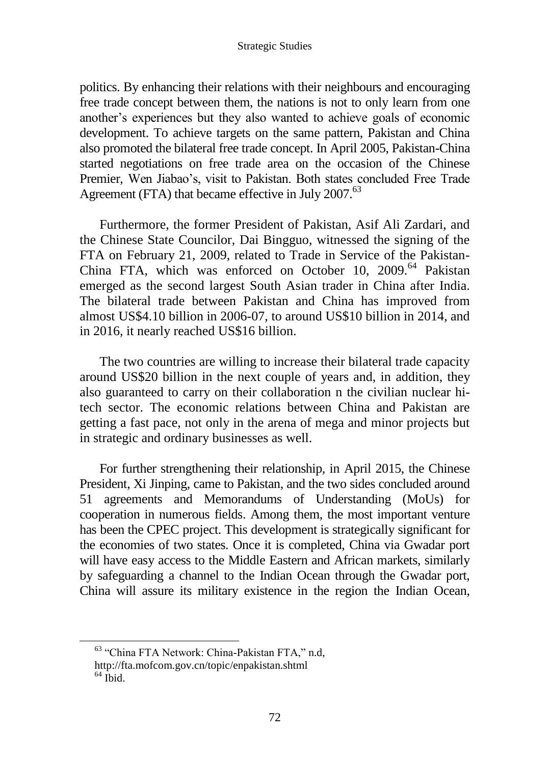politics. By enhancing their relations with their neighbours and encouraging free trade concept between them, the nations is not to only learn from one another's experiences but they also wanted to achieve goals of economic development. To achieve targets on the same pattern, Pakistan and China also promoted the bilateral free trade concept. In April 2005, Pakistan-China started negotiations on free trade area on the occasion of the Chinese Premier, Wen Jiabao's, visit to Pakistan. Both states concluded Free Trade Agreement (FTA) that became effective in July 2007.<sup>63</sup>

Furthermore, the former President of Pakistan, Asif Ali Zardari, and the Chinese State Councilor, Dai Bingguo, witnessed the signing of the FTA on February 21, 2009, related to Trade in Service of the Pakistan-China FTA, which was enforced on October 10, 2009.<sup>64</sup> Pakistan emerged as the second largest South Asian trader in China after India. The bilateral trade between Pakistan and China has improved from almost US\$4.10 billion in 2006-07, to around US\$10 billion in 2014, and in 2016, it nearly reached US\$16 billion.

The two countries are willing to increase their bilateral trade capacity around US\$20 billion in the next couple of years and, in addition, they also guaranteed to carry on their collaboration n the civilian nuclear hitech sector. The economic relations between China and Pakistan are getting a fast pace, not only in the arena of mega and minor projects but in strategic and ordinary businesses as well.

For further strengthening their relationship, in April 2015, the Chinese President, Xi Jinping, came to Pakistan, and the two sides concluded around 51 agreements and Memorandums of Understanding (MoUs) for cooperation in numerous fields. Among them, the most important venture has been the CPEC project. This development is strategically significant for the economies of two states. Once it is completed, China via Gwadar port will have easy access to the Middle Eastern and African markets, similarly by safeguarding a channel to the Indian Ocean through the Gwadar port, China will assure its military existence in the region the Indian Ocean,

<sup>63</sup> "China FTA Network: China-Pakistan FTA," n.d,

<http://fta.mofcom.gov.cn/topic/enpakistan.shtml>

 $64$  Ibid.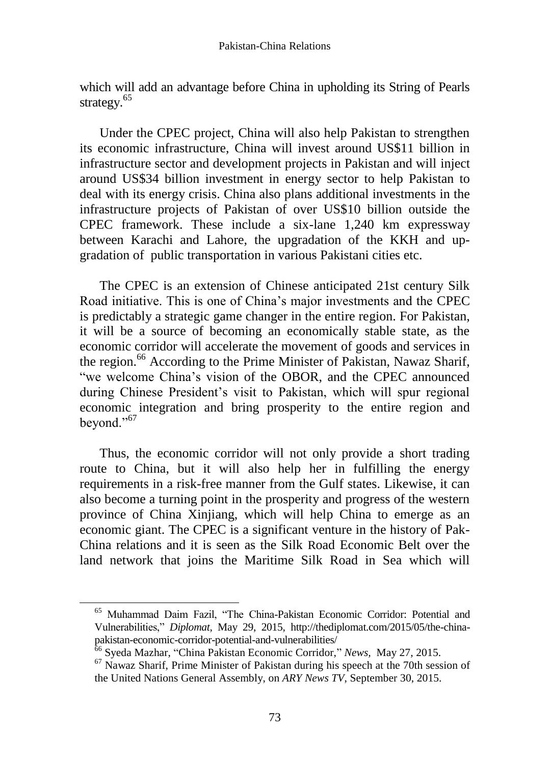which will add an advantage before China in upholding its String of Pearls strategy.<sup>65</sup>

Under the CPEC project, China will also help Pakistan to strengthen its economic infrastructure, China will invest around US\$11 billion in infrastructure sector and development projects in Pakistan and will inject around US\$34 billion investment in energy sector to help Pakistan to deal with its energy crisis. China also plans additional investments in the infrastructure projects of Pakistan of over US\$10 billion outside the CPEC framework. These include a six-lane 1,240 km expressway between Karachi and Lahore, the upgradation of the KKH and upgradation of public transportation in various Pakistani cities etc.

The CPEC is an extension of Chinese anticipated 21st century Silk Road initiative. This is one of China's major investments and the CPEC is predictably a strategic game changer in the entire region. For Pakistan, it will be a source of becoming an economically stable state, as the economic corridor will accelerate the movement of goods and services in the region.<sup>66</sup> According to the Prime Minister of Pakistan, Nawaz Sharif, "we welcome China's vision of the OBOR, and the CPEC announced during Chinese President's visit to Pakistan, which will spur regional economic integration and bring prosperity to the entire region and beyond." $67$ 

Thus, the economic corridor will not only provide a short trading route to China, but it will also help her in fulfilling the energy requirements in a risk-free manner from the Gulf states. Likewise, it can also become a turning point in the prosperity and progress of the western province of China Xinjiang, which will help China to emerge as an economic giant. The CPEC is a significant venture in the history of Pak-China relations and it is seen as the Silk Road Economic Belt over the land network that joins the Maritime Silk Road in Sea which will

<sup>65</sup> Muhammad Daim Fazil, "The China-Pakistan Economic Corridor: Potential and Vulnerabilities," *Diplomat*, May 29, 2015, [http://thediplomat.com/2015/05/the-china](http://thediplomat.com/2015/05/the-china-pakistan-economic-corridor-potential-and-vulnerabilities/)[pakistan-economic-corridor-potential-and-vulnerabilities/](http://thediplomat.com/2015/05/the-china-pakistan-economic-corridor-potential-and-vulnerabilities/)

<sup>66</sup> Syeda Mazhar, "China Pakistan Economic Corridor," *News,* May 27, 2015.

 $67$  Nawaz Sharif, Prime Minister of Pakistan during his speech at the 70th session of the United Nations General Assembly, on *ARY News TV*, September 30, 2015.